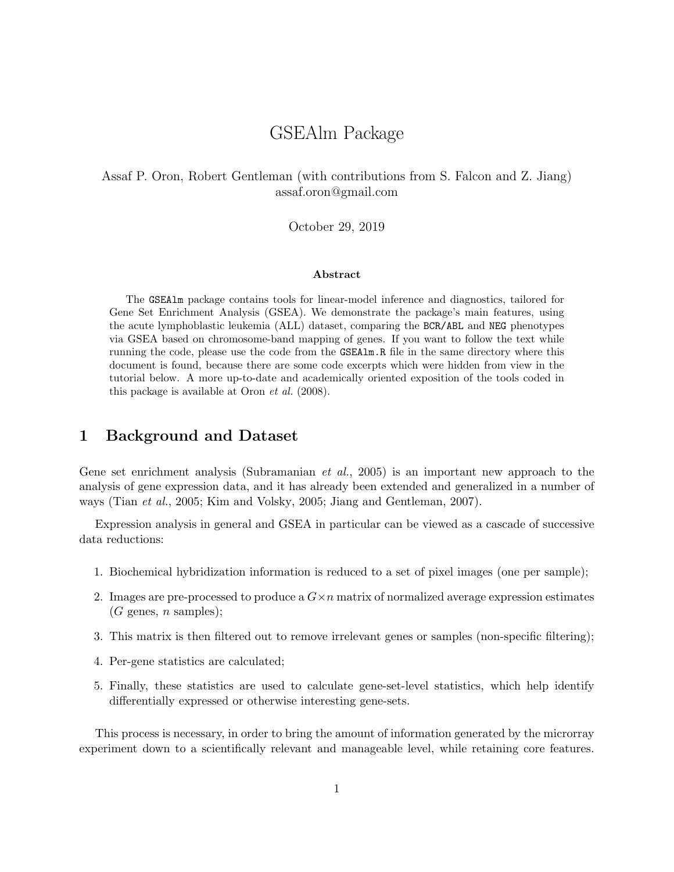# GSEAlm Package

#### Assaf P. Oron, Robert Gentleman (with contributions from S. Falcon and Z. Jiang) assaf.oron@gmail.com

#### October 29, 2019

#### Abstract

The GSEAlm package contains tools for linear-model inference and diagnostics, tailored for Gene Set Enrichment Analysis (GSEA). We demonstrate the package's main features, using the acute lymphoblastic leukemia (ALL) dataset, comparing the BCR/ABL and NEG phenotypes via GSEA based on chromosome-band mapping of genes. If you want to follow the text while running the code, please use the code from the GSEAlm.R file in the same directory where this document is found, because there are some code excerpts which were hidden from view in the tutorial below. A more up-to-date and academically oriented exposition of the tools coded in this package is available at Oron et al. (2008).

#### 1 Background and Dataset

Gene set enrichment analysis (Subramanian et al., 2005) is an important new approach to the analysis of gene expression data, and it has already been extended and generalized in a number of ways (Tian et al., 2005; Kim and Volsky, 2005; Jiang and Gentleman, 2007).

Expression analysis in general and GSEA in particular can be viewed as a cascade of successive data reductions:

- 1. Biochemical hybridization information is reduced to a set of pixel images (one per sample);
- 2. Images are pre-processed to produce a  $G \times n$  matrix of normalized average expression estimates  $(G \text{ genes}, n \text{ samples});$
- 3. This matrix is then filtered out to remove irrelevant genes or samples (non-specific filtering);
- 4. Per-gene statistics are calculated;
- 5. Finally, these statistics are used to calculate gene-set-level statistics, which help identify differentially expressed or otherwise interesting gene-sets.

This process is necessary, in order to bring the amount of information generated by the microrray experiment down to a scientifically relevant and manageable level, while retaining core features.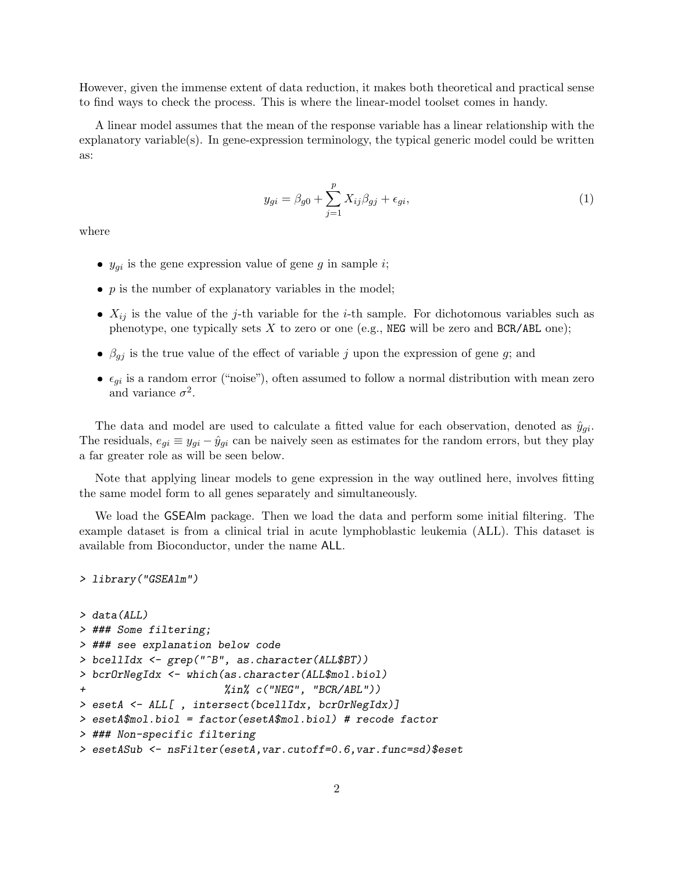However, given the immense extent of data reduction, it makes both theoretical and practical sense to find ways to check the process. This is where the linear-model toolset comes in handy.

A linear model assumes that the mean of the response variable has a linear relationship with the explanatory variable(s). In gene-expression terminology, the typical generic model could be written as:

$$
y_{gi} = \beta_{g0} + \sum_{j=1}^{p} X_{ij} \beta_{gj} + \epsilon_{gi},\tag{1}
$$

where

- $y_{gi}$  is the gene expression value of gene g in sample i;
- $\bullet$  p is the number of explanatory variables in the model;
- $\bullet$   $X_{ij}$  is the value of the j-th variable for the i-th sample. For dichotomous variables such as phenotype, one typically sets  $X$  to zero or one (e.g., NEG will be zero and BCR/ABL one);
- $\phi$   $\beta_{gj}$  is the true value of the effect of variable j upon the expression of gene g; and
- $\epsilon_{gi}$  is a random error ("noise"), often assumed to follow a normal distribution with mean zero and variance  $\sigma^2$ .

The data and model are used to calculate a fitted value for each observation, denoted as  $\hat{y}_{gi}$ . The residuals,  $e_{gi} \equiv y_{gi} - \hat{y}_{gi}$  can be naively seen as estimates for the random errors, but they play a far greater role as will be seen below.

Note that applying linear models to gene expression in the way outlined here, involves fitting the same model form to all genes separately and simultaneously.

We load the GSEAlm package. Then we load the data and perform some initial filtering. The example dataset is from a clinical trial in acute lymphoblastic leukemia (ALL). This dataset is available from Bioconductor, under the name ALL.

```
> library("GSEAlm")
```

```
> data(ALL)
> ### Some filtering;
> ### see explanation below code
> bcellIdx <- grep("^B", as.character(ALL$BT))
> bcrOrNegIdx <- which(as.character(ALL$mol.biol)
+ %in% c("NEG", "BCR/ABL"))
> esetA <- ALL[ , intersect(bcellIdx, bcrOrNegIdx)]
> esetA$mol.biol = factor(esetA$mol.biol) # recode factor
> ### Non-specific filtering
> esetASub <- nsFilter(esetA,var.cutoff=0.6,var.func=sd)$eset
```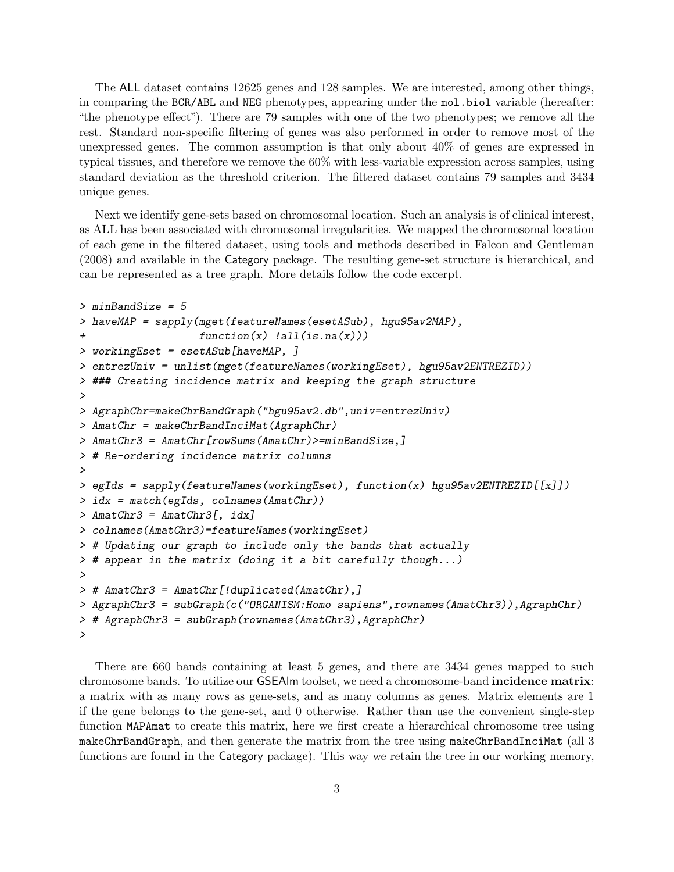The ALL dataset contains 12625 genes and 128 samples. We are interested, among other things, in comparing the BCR/ABL and NEG phenotypes, appearing under the mol.biol variable (hereafter: "the phenotype effect"). There are 79 samples with one of the two phenotypes; we remove all the rest. Standard non-specific filtering of genes was also performed in order to remove most of the unexpressed genes. The common assumption is that only about  $40\%$  of genes are expressed in typical tissues, and therefore we remove the 60% with less-variable expression across samples, using standard deviation as the threshold criterion. The filtered dataset contains 79 samples and 3434 unique genes.

Next we identify gene-sets based on chromosomal location. Such an analysis is of clinical interest, as ALL has been associated with chromosomal irregularities. We mapped the chromosomal location of each gene in the filtered dataset, using tools and methods described in Falcon and Gentleman (2008) and available in the Category package. The resulting gene-set structure is hierarchical, and can be represented as a tree graph. More details follow the code excerpt.

```
> minBandSize = 5
> haveMAP = sapply(mget(featureNames(esetASub), hgu95av2MAP),
                   function(x) !all(is.na(x)))
> workingEset = esetASub[haveMAP, ]
> entrezUniv = unlist(mget(featureNames(workingEset), hgu95av2ENTREZID))
> ### Creating incidence matrix and keeping the graph structure
>
> AgraphChr=makeChrBandGraph("hgu95av2.db",univ=entrezUniv)
> AmatChr = makeChrBandInciMat(AgraphChr)
> AmatChr3 = AmatChr[rowSums(AmatChr)>=minBandSize,]
> # Re-ordering incidence matrix columns
>
> egIds = sapply(featureNames(workingEset), function(x) hgu95av2ENTREZID[[x]])
> idx = match(egIds, colnames(AmatChr))
> AmatChr3 = AmatChr3[, idx]
> colnames(AmatChr3)=featureNames(workingEset)
> # Updating our graph to include only the bands that actually
> # appear in the matrix (doing it a bit carefully though...)
>
> # AmatChr3 = AmatChr[!duplicated(AmatChr),]
> AgraphChr3 = subGraph(c("ORGANISM: Homo sapiens", rownames(AmatChr3)), AgraphChr)
> # AgraphChr3 = subGraph(rownames(AmatChr3),AgraphChr)
>
```
There are 660 bands containing at least 5 genes, and there are 3434 genes mapped to such chromosome bands. To utilize our GSEAlm toolset, we need a chromosome-band incidence matrix: a matrix with as many rows as gene-sets, and as many columns as genes. Matrix elements are 1 if the gene belongs to the gene-set, and 0 otherwise. Rather than use the convenient single-step function MAPAmat to create this matrix, here we first create a hierarchical chromosome tree using makeChrBandGraph, and then generate the matrix from the tree using makeChrBandInciMat (all 3 functions are found in the Category package). This way we retain the tree in our working memory,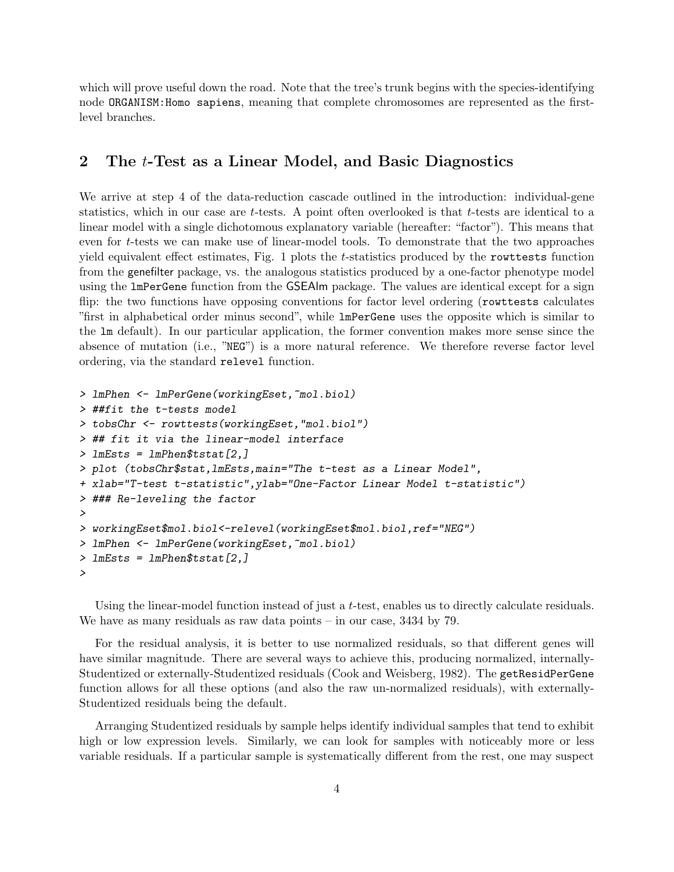which will prove useful down the road. Note that the tree's trunk begins with the species-identifying node ORGANISM:Homo sapiens, meaning that complete chromosomes are represented as the firstlevel branches.

#### 2 The t-Test as a Linear Model, and Basic Diagnostics

We arrive at step 4 of the data-reduction cascade outlined in the introduction: individual-gene statistics, which in our case are t-tests. A point often overlooked is that t-tests are identical to a linear model with a single dichotomous explanatory variable (hereafter: "factor"). This means that even for t-tests we can make use of linear-model tools. To demonstrate that the two approaches yield equivalent effect estimates, Fig. 1 plots the t-statistics produced by the rowttests function from the genefilter package, vs. the analogous statistics produced by a one-factor phenotype model using the lmPerGene function from the GSEAlm package. The values are identical except for a sign flip: the two functions have opposing conventions for factor level ordering (rowttests calculates "first in alphabetical order minus second", while lmPerGene uses the opposite which is similar to the lm default). In our particular application, the former convention makes more sense since the absence of mutation (i.e., "NEG") is a more natural reference. We therefore reverse factor level ordering, via the standard relevel function.

```
> 1mPhen <- 1mPerGene(workingEset,~mol.biol)
> ##fit the t-tests model
> tobsChr <- rowttests(workingEset,"mol.biol")
> ## fit it via the linear-model interface
> lmEsts = lmPhen$tstat[2,]
> plot (tobsChr$stat,lmEsts,main="The t-test as a Linear Model",
+ xlab="T-test t-statistic",ylab="One-Factor Linear Model t-statistic")
> ### Re-leveling the factor
>
> workingEset$mol.biol<-relevel(workingEset$mol.biol,ref="NEG")
> lmPhen <- lmPerGene(workingEset,~mol.biol)
> lmEsts = lmPhen$tstat[2,]
>
```
Using the linear-model function instead of just a  $t$ -test, enables us to directly calculate residuals. We have as many residuals as raw data points – in our case, 3434 by 79.

For the residual analysis, it is better to use normalized residuals, so that different genes will have similar magnitude. There are several ways to achieve this, producing normalized, internally-Studentized or externally-Studentized residuals (Cook and Weisberg, 1982). The getResidPerGene function allows for all these options (and also the raw un-normalized residuals), with externally-Studentized residuals being the default.

Arranging Studentized residuals by sample helps identify individual samples that tend to exhibit high or low expression levels. Similarly, we can look for samples with noticeably more or less variable residuals. If a particular sample is systematically different from the rest, one may suspect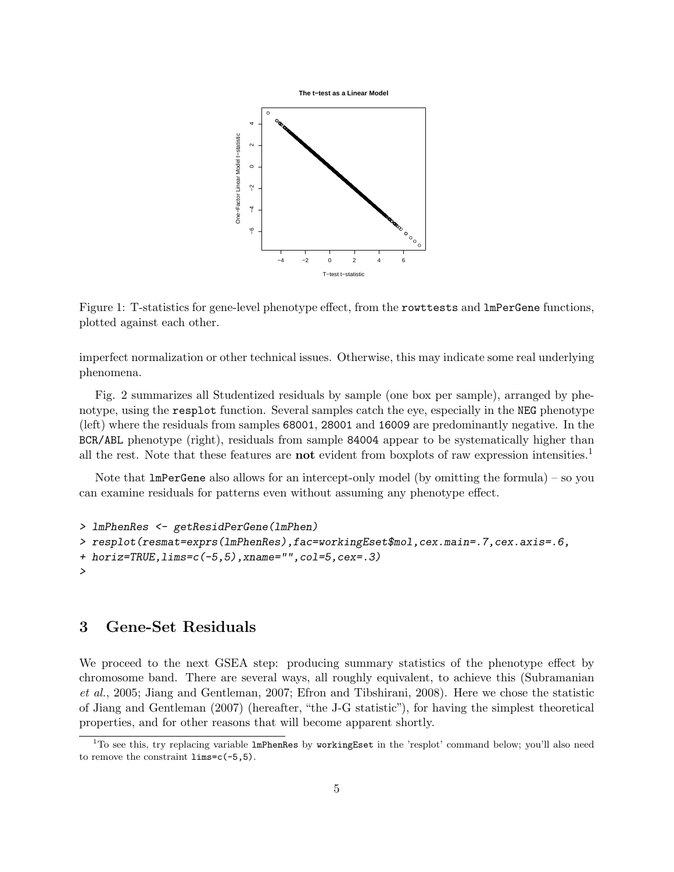**The t−test as a Linear Model**



Figure 1: T-statistics for gene-level phenotype effect, from the rowttests and lmPerGene functions, plotted against each other.

imperfect normalization or other technical issues. Otherwise, this may indicate some real underlying phenomena.

Fig. 2 summarizes all Studentized residuals by sample (one box per sample), arranged by phenotype, using the resplot function. Several samples catch the eye, especially in the NEG phenotype (left) where the residuals from samples 68001, 28001 and 16009 are predominantly negative. In the BCR/ABL phenotype (right), residuals from sample 84004 appear to be systematically higher than all the rest. Note that these features are **not** evident from boxplots of raw expression intensities.<sup>1</sup>

Note that  $lmPerGene$  also allows for an intercept-only model (by omitting the formula) – so you can examine residuals for patterns even without assuming any phenotype effect.

```
> lmPhenRes <- getResidPerGene(lmPhen)
> resplot(resmat=exprs(lmPhenRes),fac=workingEset$mol,cex.main=.7,cex.axis=.6,
+ horiz=TRUE,lims=c(-5,5),xname="",col=5,cex=.3)
>
```
## 3 Gene-Set Residuals

We proceed to the next GSEA step: producing summary statistics of the phenotype effect by chromosome band. There are several ways, all roughly equivalent, to achieve this (Subramanian et al., 2005; Jiang and Gentleman, 2007; Efron and Tibshirani, 2008). Here we chose the statistic of Jiang and Gentleman (2007) (hereafter, "the J-G statistic"), for having the simplest theoretical properties, and for other reasons that will become apparent shortly.

 $1$ To see this, try replacing variable lmPhenRes by workingEset in the 'resplot' command below; you'll also need to remove the constraint lims=c(-5,5).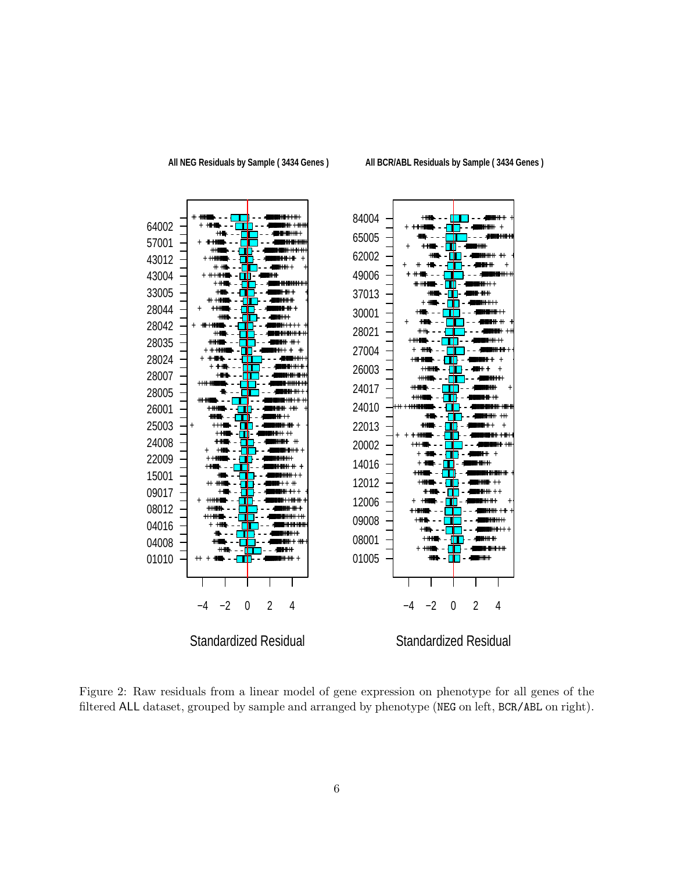

All BCR/ABL Residuals by Sample (3434 Genes)

Figure 2: Raw residuals from a linear model of gene expression on phenotype for all genes of the filtered ALL dataset, grouped by sample and arranged by phenotype (NEG on left, BCR/ABL on right).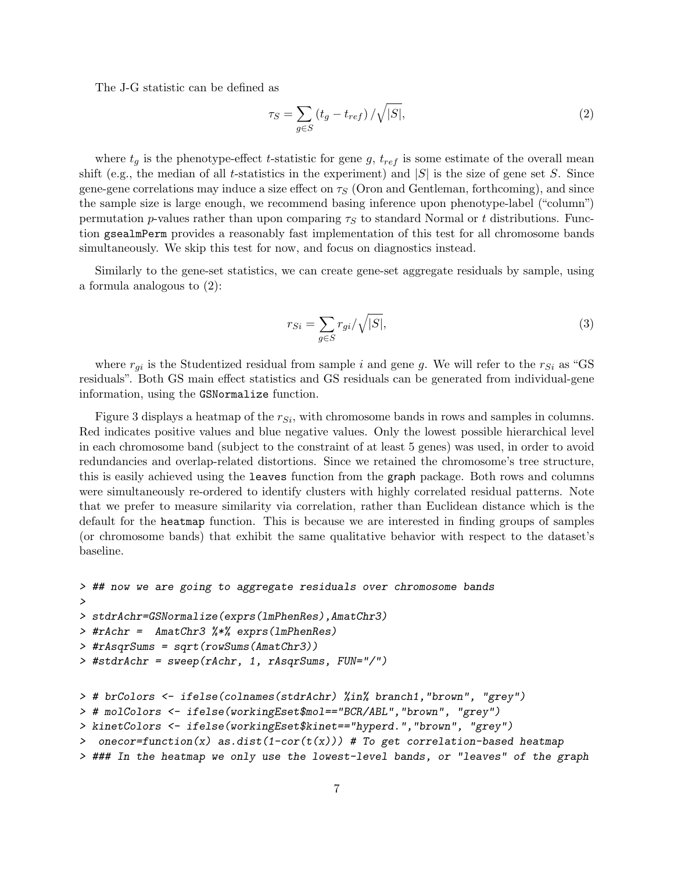The J-G statistic can be defined as

$$
\tau_S = \sum_{g \in S} \left( t_g - t_{ref} \right) / \sqrt{|S|},\tag{2}
$$

where  $t_q$  is the phenotype-effect t-statistic for gene g,  $t_{ref}$  is some estimate of the overall mean shift (e.g., the median of all t-statistics in the experiment) and  $|S|$  is the size of gene set S. Since gene-gene correlations may induce a size effect on  $\tau<sub>S</sub>$  (Oron and Gentleman, forthcoming), and since the sample size is large enough, we recommend basing inference upon phenotype-label ("column") permutation p-values rather than upon comparing  $\tau<sub>S</sub>$  to standard Normal or t distributions. Function gsealmPerm provides a reasonably fast implementation of this test for all chromosome bands simultaneously. We skip this test for now, and focus on diagnostics instead.

Similarly to the gene-set statistics, we can create gene-set aggregate residuals by sample, using a formula analogous to (2):

$$
r_{Si} = \sum_{g \in S} r_{gi} / \sqrt{|S|},\tag{3}
$$

where  $r_{qi}$  is the Studentized residual from sample i and gene g. We will refer to the  $r_{Si}$  as "GS residuals". Both GS main effect statistics and GS residuals can be generated from individual-gene information, using the GSNormalize function.

Figure 3 displays a heatmap of the  $r_{Si}$ , with chromosome bands in rows and samples in columns. Red indicates positive values and blue negative values. Only the lowest possible hierarchical level in each chromosome band (subject to the constraint of at least 5 genes) was used, in order to avoid redundancies and overlap-related distortions. Since we retained the chromosome's tree structure, this is easily achieved using the leaves function from the graph package. Both rows and columns were simultaneously re-ordered to identify clusters with highly correlated residual patterns. Note that we prefer to measure similarity via correlation, rather than Euclidean distance which is the default for the heatmap function. This is because we are interested in finding groups of samples (or chromosome bands) that exhibit the same qualitative behavior with respect to the dataset's baseline.

```
> ## now we are going to aggregate residuals over chromosome bands
>
> stdrAchr=GSNormalize(exprs(lmPhenRes),AmatChr3)
> #rAchr = AmatChr3 %*% exprs(lmPhenRes)
> #rAsqrSums = sqrt(rowSums(AmatChr3))
> #stdrAchr = sweep(rAchr, 1, rAsqrSums, FUN="/")
> # brColors <- ifelse(colnames(stdrAchr) %in% branch1,"brown", "grey")
> # molColors <- ifelse(workingEset$mol=="BCR/ABL","brown", "grey")
> kinetColors <- ifelse(workingEset$kinet=="hyperd.","brown", "grey")
> onecor=function(x) as.dist(1-cor(t(x))) # To get correlation-based heatmap
> ### In the heatmap we only use the lowest-level bands, or "leaves" of the graph
```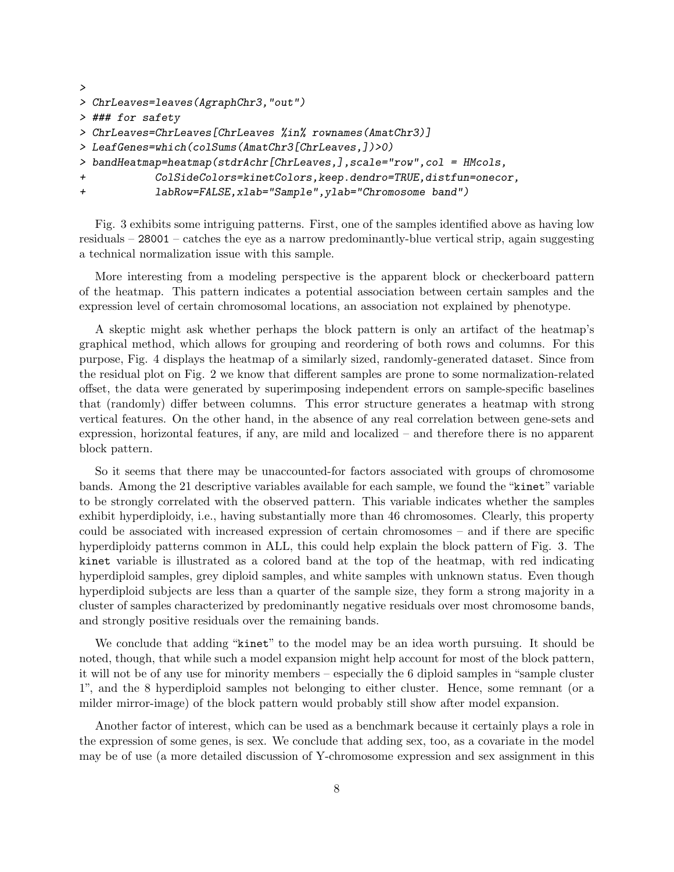```
>
> ChrLeaves=leaves(AgraphChr3,"out")
> ### for safety
> ChrLeaves=ChrLeaves[ChrLeaves %in% rownames(AmatChr3)]
> LeafGenes=which(colSums(AmatChr3[ChrLeaves,])>0)
> bandHeatmap=heatmap(stdrAchr[ChrLeaves,],scale="row",col = HMcols,
+ ColSideColors=kinetColors,keep.dendro=TRUE,distfun=onecor,
+ labRow=FALSE,xlab="Sample",ylab="Chromosome band")
```
Fig. 3 exhibits some intriguing patterns. First, one of the samples identified above as having low residuals – 28001 – catches the eye as a narrow predominantly-blue vertical strip, again suggesting a technical normalization issue with this sample.

More interesting from a modeling perspective is the apparent block or checkerboard pattern of the heatmap. This pattern indicates a potential association between certain samples and the expression level of certain chromosomal locations, an association not explained by phenotype.

A skeptic might ask whether perhaps the block pattern is only an artifact of the heatmap's graphical method, which allows for grouping and reordering of both rows and columns. For this purpose, Fig. 4 displays the heatmap of a similarly sized, randomly-generated dataset. Since from the residual plot on Fig. 2 we know that different samples are prone to some normalization-related offset, the data were generated by superimposing independent errors on sample-specific baselines that (randomly) differ between columns. This error structure generates a heatmap with strong vertical features. On the other hand, in the absence of any real correlation between gene-sets and expression, horizontal features, if any, are mild and localized – and therefore there is no apparent block pattern.

So it seems that there may be unaccounted-for factors associated with groups of chromosome bands. Among the 21 descriptive variables available for each sample, we found the "kinet" variable to be strongly correlated with the observed pattern. This variable indicates whether the samples exhibit hyperdiploidy, i.e., having substantially more than 46 chromosomes. Clearly, this property could be associated with increased expression of certain chromosomes – and if there are specific hyperdiploidy patterns common in ALL, this could help explain the block pattern of Fig. 3. The kinet variable is illustrated as a colored band at the top of the heatmap, with red indicating hyperdiploid samples, grey diploid samples, and white samples with unknown status. Even though hyperdiploid subjects are less than a quarter of the sample size, they form a strong majority in a cluster of samples characterized by predominantly negative residuals over most chromosome bands, and strongly positive residuals over the remaining bands.

We conclude that adding "kinet" to the model may be an idea worth pursuing. It should be noted, though, that while such a model expansion might help account for most of the block pattern, it will not be of any use for minority members – especially the 6 diploid samples in "sample cluster 1", and the 8 hyperdiploid samples not belonging to either cluster. Hence, some remnant (or a milder mirror-image) of the block pattern would probably still show after model expansion.

Another factor of interest, which can be used as a benchmark because it certainly plays a role in the expression of some genes, is sex. We conclude that adding sex, too, as a covariate in the model may be of use (a more detailed discussion of Y-chromosome expression and sex assignment in this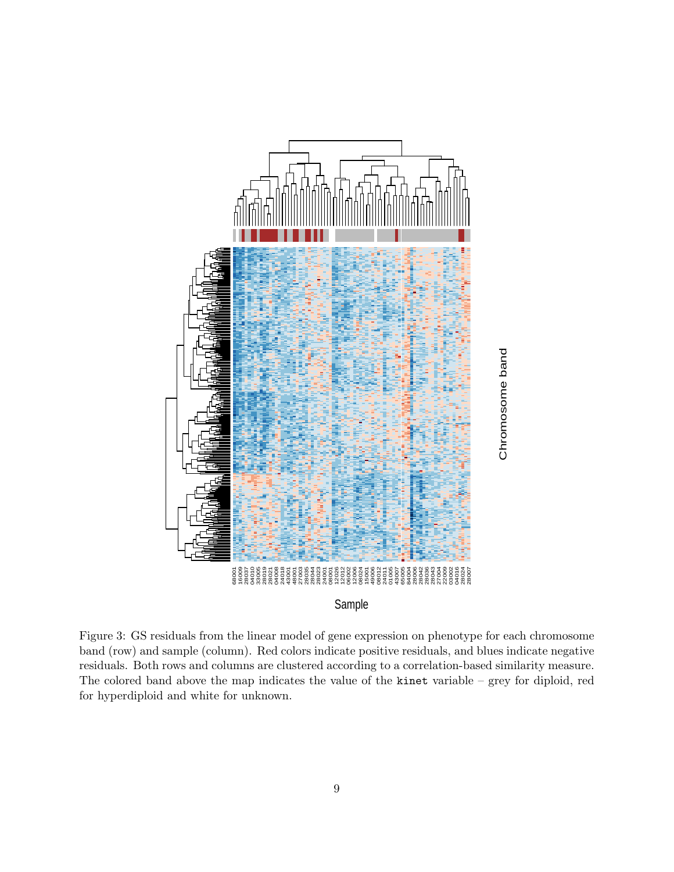

Figure 3: GS residuals from the linear model of gene expression on phenotype for each chromosome band (row) and sample (column). Red colors indicate positive residuals, and blues indicate negative residuals. Both rows and columns are clustered according to a correlation-based similarity measure. The colored band above the map indicates the value of the kinet variable – grey for diploid, red for hyperdiploid and white for unknown.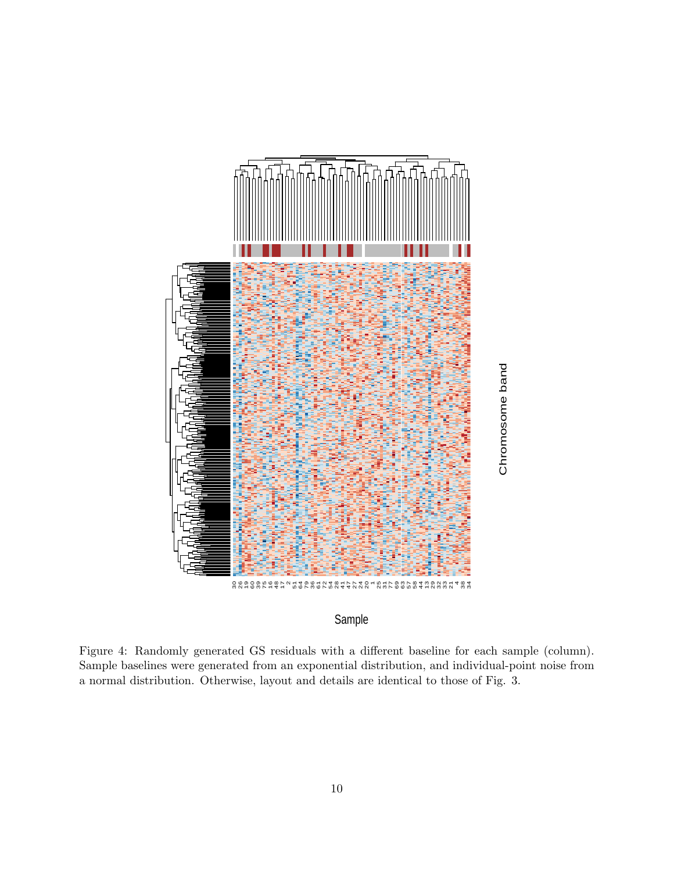

### Sample

Figure 4: Randomly generated GS residuals with a different baseline for each sample (column). Sample baselines were generated from an exponential distribution, and individual-point noise from a normal distribution. Otherwise, layout and details are identical to those of Fig. 3.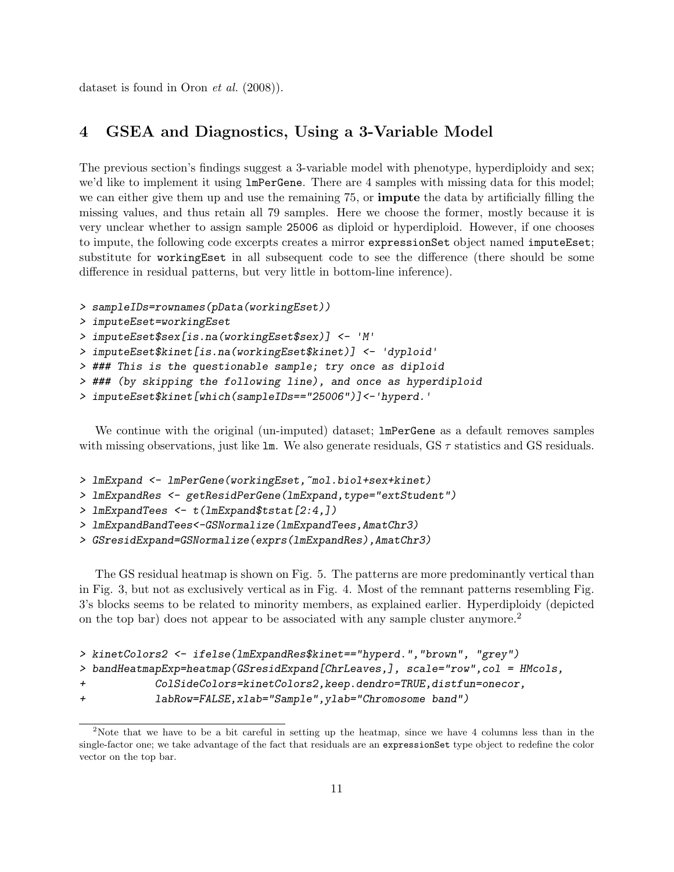dataset is found in Oron et al. (2008)).

### 4 GSEA and Diagnostics, Using a 3-Variable Model

The previous section's findings suggest a 3-variable model with phenotype, hyperdiploidy and sex; we'd like to implement it using lmPerGene. There are 4 samples with missing data for this model; we can either give them up and use the remaining 75, or impute the data by artificially filling the missing values, and thus retain all 79 samples. Here we choose the former, mostly because it is very unclear whether to assign sample 25006 as diploid or hyperdiploid. However, if one chooses to impute, the following code excerpts creates a mirror expressionSet object named imputeEset; substitute for workingEset in all subsequent code to see the difference (there should be some difference in residual patterns, but very little in bottom-line inference).

```
> sampleIDs=rownames(pData(workingEset))
```

```
> imputeEset=workingEset
```

```
> imputeEset$sex[is.na(workingEset$sex)] <- 'M'
```

```
> imputeEset$kinet[is.na(workingEset$kinet)] <- 'dyploid'
```
- > ### This is the questionable sample; try once as diploid
- > ### (by skipping the following line), and once as hyperdiploid
- > imputeEset\$kinet[which(sampleIDs=="25006")]<-'hyperd.'

We continue with the original (un-imputed) dataset;  $lmPerGene$  as a default removes samples with missing observations, just like  $\text{lm}$ . We also generate residuals, GS  $\tau$  statistics and GS residuals.

```
> lmExpand <- lmPerGene(workingEset, ~mol.biol+sex+kinet)
```

```
> lmExpandRes <- getResidPerGene(lmExpand,type="extStudent")
```

```
> lmExpandTees <- t(lmExpand$tstat[2:4,])
```

```
> lmExpandBandTees<-GSNormalize(lmExpandTees,AmatChr3)
```

```
> GSresidExpand=GSNormalize(exprs(lmExpandRes),AmatChr3)
```
The GS residual heatmap is shown on Fig. 5. The patterns are more predominantly vertical than in Fig. 3, but not as exclusively vertical as in Fig. 4. Most of the remnant patterns resembling Fig. 3's blocks seems to be related to minority members, as explained earlier. Hyperdiploidy (depicted on the top bar) does not appear to be associated with any sample cluster anymore.<sup>2</sup>

```
> kinetColors2 <- ifelse(lmExpandRes$kinet=="hyperd.","brown", "grey")
```

```
> bandHeatmapExp=heatmap(GSresidExpand[ChrLeaves,], scale="row",col = HMcols,
```

```
+ ColSideColors=kinetColors2,keep.dendro=TRUE,distfun=onecor,
```

```
+ labRow=FALSE,xlab="Sample",ylab="Chromosome band")
```
<sup>&</sup>lt;sup>2</sup>Note that we have to be a bit careful in setting up the heatmap, since we have 4 columns less than in the single-factor one; we take advantage of the fact that residuals are an expressionSet type object to redefine the color vector on the top bar.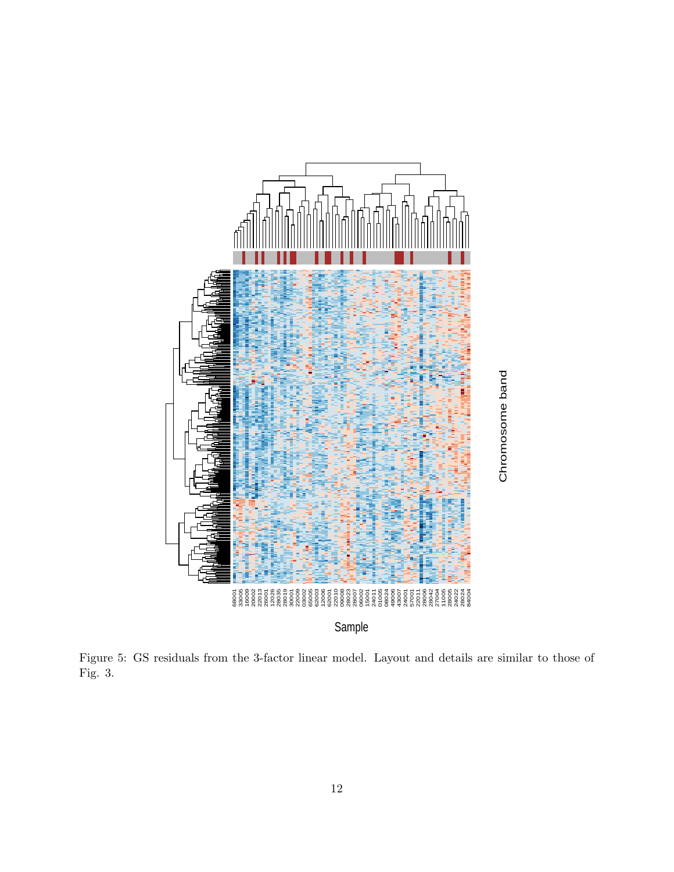

Figure 5: GS residuals from the 3-factor linear model. Layout and details are similar to those of Fig. 3.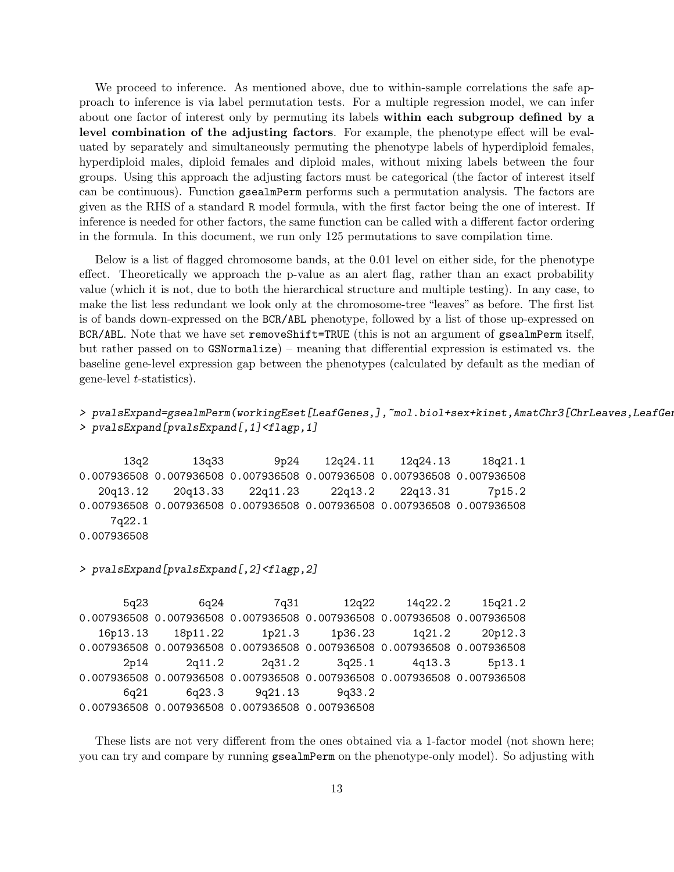We proceed to inference. As mentioned above, due to within-sample correlations the safe approach to inference is via label permutation tests. For a multiple regression model, we can infer about one factor of interest only by permuting its labels within each subgroup defined by a level combination of the adjusting factors. For example, the phenotype effect will be evaluated by separately and simultaneously permuting the phenotype labels of hyperdiploid females, hyperdiploid males, diploid females and diploid males, without mixing labels between the four groups. Using this approach the adjusting factors must be categorical (the factor of interest itself can be continuous). Function gsealmPerm performs such a permutation analysis. The factors are given as the RHS of a standard R model formula, with the first factor being the one of interest. If inference is needed for other factors, the same function can be called with a different factor ordering in the formula. In this document, we run only 125 permutations to save compilation time.

Below is a list of flagged chromosome bands, at the 0.01 level on either side, for the phenotype effect. Theoretically we approach the p-value as an alert flag, rather than an exact probability value (which it is not, due to both the hierarchical structure and multiple testing). In any case, to make the list less redundant we look only at the chromosome-tree "leaves" as before. The first list is of bands down-expressed on the BCR/ABL phenotype, followed by a list of those up-expressed on BCR/ABL. Note that we have set removeShift=TRUE (this is not an argument of gsealmPerm itself, but rather passed on to GSNormalize) – meaning that differential expression is estimated vs. the baseline gene-level expression gap between the phenotypes (calculated by default as the median of gene-level t-statistics).

```
> pvalsExpand=gsealmPerm(workingEset[LeafGenes,],~mol.biol+sex+kinet,AmatChr3[ChrLeaves,LeafGeness]
> pvalsExpand[pvalsExpand[,1]<flagp,1]
```
13q2 13q33 9p24 12q24.11 12q24.13 18q21.1 0.007936508 0.007936508 0.007936508 0.007936508 0.007936508 0.007936508 20q13.12 20q13.33 22q11.23 22q13.2 22q13.31 7p15.2 0.007936508 0.007936508 0.007936508 0.007936508 0.007936508 0.007936508 7q22.1 0.007936508

> pvalsExpand[pvalsExpand[,2]<flagp,2]

5q23 6q24 7q31 12q22 14q22.2 15q21.2 0.007936508 0.007936508 0.007936508 0.007936508 0.007936508 0.007936508 16p13.13 18p11.22 1p21.3 1p36.23 1q21.2 20p12.3 0.007936508 0.007936508 0.007936508 0.007936508 0.007936508 0.007936508 2p14 2q11.2 2q31.2 3q25.1 4q13.3 5p13.1 0.007936508 0.007936508 0.007936508 0.007936508 0.007936508 0.007936508 6q21 6q23.3 9q21.13 9q33.2 0.007936508 0.007936508 0.007936508 0.007936508

These lists are not very different from the ones obtained via a 1-factor model (not shown here; you can try and compare by running gsealmPerm on the phenotype-only model). So adjusting with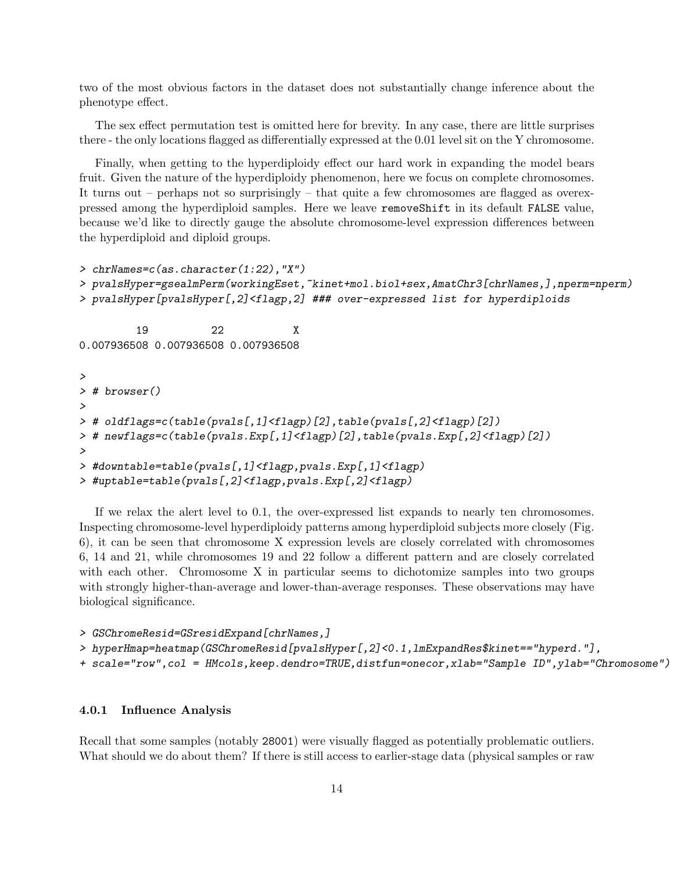two of the most obvious factors in the dataset does not substantially change inference about the phenotype effect.

The sex effect permutation test is omitted here for brevity. In any case, there are little surprises there - the only locations flagged as differentially expressed at the 0.01 level sit on the Y chromosome.

Finally, when getting to the hyperdiploidy effect our hard work in expanding the model bears fruit. Given the nature of the hyperdiploidy phenomenon, here we focus on complete chromosomes. It turns out – perhaps not so surprisingly – that quite a few chromosomes are flagged as overexpressed among the hyperdiploid samples. Here we leave removeShift in its default FALSE value, because we'd like to directly gauge the absolute chromosome-level expression differences between the hyperdiploid and diploid groups.

```
> chrNames=c(as.character(1:22),"X")
> pvalsHyper=gsealmPerm(workingEset,~kinet+mol.biol+sex,AmatChr3[chrNames,],nperm=nperm)
> pvalsHyper[pvalsHyper[,2]<flagp,2] ### over-expressed list for hyperdiploids
         19 22 X
0.007936508 0.007936508 0.007936508
>
> # browser()
>
> # oldflags=c(table(pvals[,1]<flagp)[2],table(pvals[,2]<flagp)[2])
> # newflags=c(table(pvals.Exp[,1]<flagp)[2],table(pvals.Exp[,2]<flagp)[2])
>
> #downtable=table(pvals[,1]<flagp,pvals.Exp[,1]<flagp)
> #uptable=table(pvals[,2]<flagp,pvals.Exp[,2]<flagp)
```
If we relax the alert level to 0.1, the over-expressed list expands to nearly ten chromosomes. Inspecting chromosome-level hyperdiploidy patterns among hyperdiploid subjects more closely (Fig. 6), it can be seen that chromosome X expression levels are closely correlated with chromosomes 6, 14 and 21, while chromosomes 19 and 22 follow a different pattern and are closely correlated with each other. Chromosome X in particular seems to dichotomize samples into two groups with strongly higher-than-average and lower-than-average responses. These observations may have biological significance.

```
> GSChromeResid=GSresidExpand[chrNames,]
```

```
> hyperHmap=heatmap(GSChromeResid[pvalsHyper[,2]<0.1,lmExpandRes$kinet=="hyperd."],
```

```
+ scale="row",col = HMcols,keep.dendro=TRUE,distfun=onecor,xlab="Sample ID",ylab="Chromosome")
```
#### 4.0.1 Influence Analysis

Recall that some samples (notably 28001) were visually flagged as potentially problematic outliers. What should we do about them? If there is still access to earlier-stage data (physical samples or raw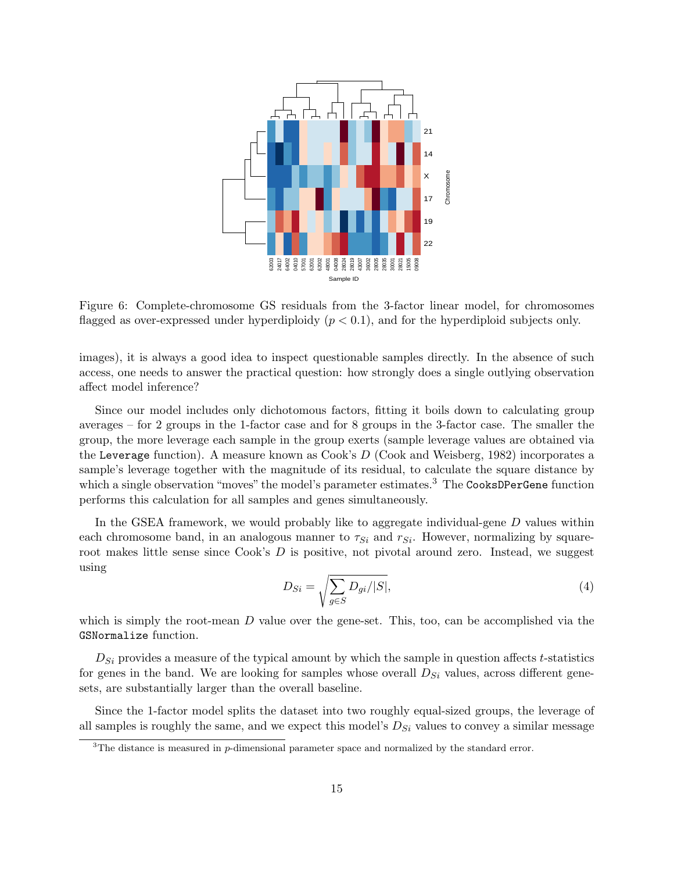

Figure 6: Complete-chromosome GS residuals from the 3-factor linear model, for chromosomes flagged as over-expressed under hyperdiploidy  $(p < 0.1)$ , and for the hyperdiploid subjects only.

images), it is always a good idea to inspect questionable samples directly. In the absence of such access, one needs to answer the practical question: how strongly does a single outlying observation affect model inference?

Since our model includes only dichotomous factors, fitting it boils down to calculating group averages – for 2 groups in the 1-factor case and for 8 groups in the 3-factor case. The smaller the group, the more leverage each sample in the group exerts (sample leverage values are obtained via the Leverage function). A measure known as Cook's D (Cook and Weisberg, 1982) incorporates a sample's leverage together with the magnitude of its residual, to calculate the square distance by which a single observation "moves" the model's parameter estimates.<sup>3</sup> The CooksDPerGene function performs this calculation for all samples and genes simultaneously.

In the GSEA framework, we would probably like to aggregate individual-gene D values within each chromosome band, in an analogous manner to  $\tau_{Si}$  and  $r_{Si}$ . However, normalizing by squareroot makes little sense since Cook's D is positive, not pivotal around zero. Instead, we suggest using

$$
D_{Si} = \sqrt{\sum_{g \in S} D_{gi}/|S|},\tag{4}
$$

which is simply the root-mean  $D$  value over the gene-set. This, too, can be accomplished via the GSNormalize function.

 $D_{Si}$  provides a measure of the typical amount by which the sample in question affects t-statistics for genes in the band. We are looking for samples whose overall  $D_{Si}$  values, across different genesets, are substantially larger than the overall baseline.

Since the 1-factor model splits the dataset into two roughly equal-sized groups, the leverage of all samples is roughly the same, and we expect this model's  $D_{Si}$  values to convey a similar message

<sup>&</sup>lt;sup>3</sup>The distance is measured in p-dimensional parameter space and normalized by the standard error.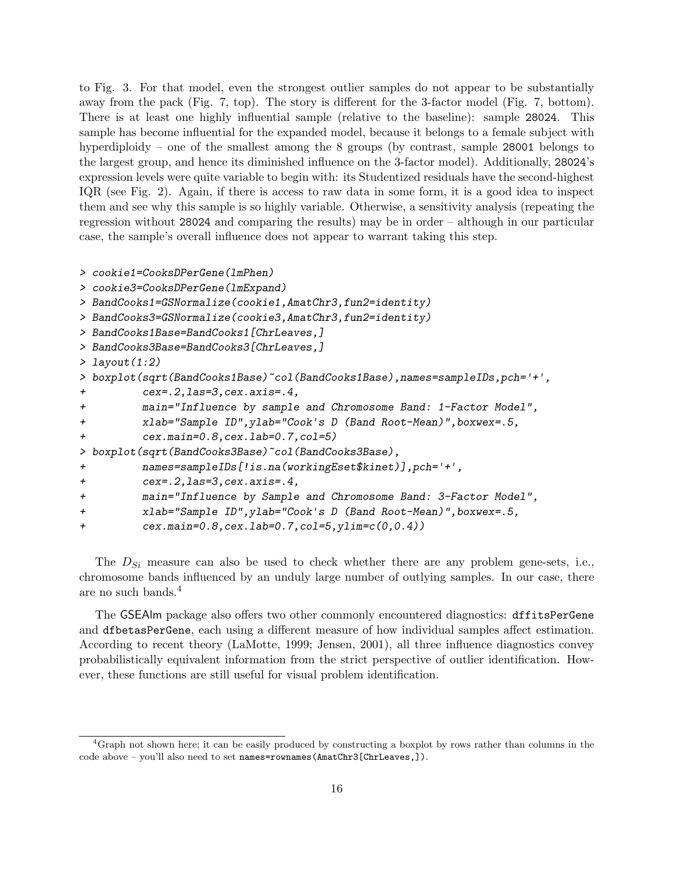to Fig. 3. For that model, even the strongest outlier samples do not appear to be substantially away from the pack (Fig. 7, top). The story is different for the 3-factor model (Fig. 7, bottom). There is at least one highly influential sample (relative to the baseline): sample 28024. This sample has become influential for the expanded model, because it belongs to a female subject with hyperdiploidy – one of the smallest among the 8 groups (by contrast, sample 28001 belongs to the largest group, and hence its diminished influence on the 3-factor model). Additionally, 28024's expression levels were quite variable to begin with: its Studentized residuals have the second-highest IQR (see Fig. 2). Again, if there is access to raw data in some form, it is a good idea to inspect them and see why this sample is so highly variable. Otherwise, a sensitivity analysis (repeating the regression without 28024 and comparing the results) may be in order – although in our particular case, the sample's overall influence does not appear to warrant taking this step.

```
> cookie1=CooksDPerGene(lmPhen)
```

```
> cookie3=CooksDPerGene(lmExpand)
```

```
> BandCooks1=GSNormalize(cookie1,AmatChr3,fun2=identity)
```

```
> BandCooks3=GSNormalize(cookie3,AmatChr3,fun2=identity)
```

```
> BandCooks1Base=BandCooks1[ChrLeaves,]
```

```
> BandCooks3Base=BandCooks3[ChrLeaves,]
```

```
> layout(1:2)
```

```
> boxplot(sqrt(BandCooks1Base)~col(BandCooks1Base),names=sampleIDs,pch='+',
```

```
+ cex=.2,las=3,cex.axis=.4,
```

```
+ main="Influence by sample and Chromosome Band: 1-Factor Model",
```

```
+ xlab="Sample ID",ylab="Cook's D (Band Root-Mean)",boxwex=.5,
```

```
+ cex.main=0.8,cex.lab=0.7,col=5)
```

```
> boxplot(sqrt(BandCooks3Base)~col(BandCooks3Base),
```

```
+ names=sampleIDs[!is.na(workingEset$kinet)],pch='+',
```

```
+ cex=.2,las=3,cex.axis=.4,
```

```
+ main="Influence by Sample and Chromosome Band: 3-Factor Model",
```

```
+ xlab="Sample ID",ylab="Cook's D (Band Root-Mean)",boxwex=.5,
```

```
+ cex.main=0.8,cex.lab=0.7,col=5,ylim=c(0,0.4))
```
The  $D_{Si}$  measure can also be used to check whether there are any problem gene-sets, i.e., chromosome bands influenced by an unduly large number of outlying samples. In our case, there are no such bands.<sup>4</sup>

The GSEAlm package also offers two other commonly encountered diagnostics: dffitsPerGene and dfbetasPerGene, each using a different measure of how individual samples affect estimation. According to recent theory (LaMotte, 1999; Jensen, 2001), all three influence diagnostics convey probabilistically equivalent information from the strict perspective of outlier identification. However, these functions are still useful for visual problem identification.

<sup>4</sup>Graph not shown here; it can be easily produced by constructing a boxplot by rows rather than columns in the code above – you'll also need to set names=rownames(AmatChr3[ChrLeaves,]).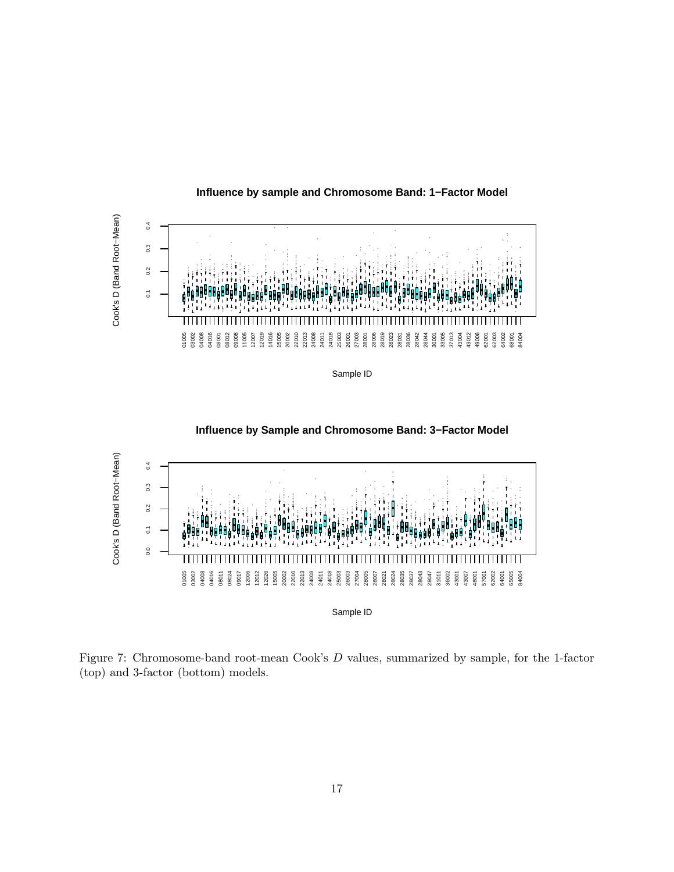

**Influence by sample and Chromosome Band: 1−Factor Model**



**Influence by Sample and Chromosome Band: 3−Factor Model**

Figure 7: Chromosome-band root-mean Cook's D values, summarized by sample, for the 1-factor (top) and 3-factor (bottom) models.